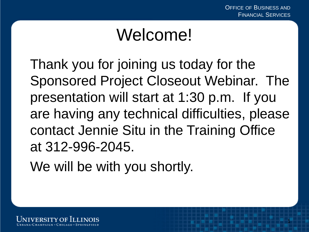1

## Welcome!

Thank you for joining us today for the Sponsored Project Closeout Webinar. The presentation will start at 1:30 p.m. If you are having any technical difficulties, please contact Jennie Situ in the Training Office at 312-996-2045.

We will be with you shortly.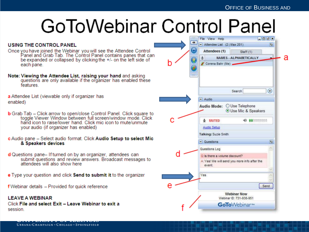2

#### **USING THE CONTROL PANEL**

Once you have joined the Webinar you will see the Attendee Control<br>Panel and Grab Tab. The Control Panel contains panes that can be expanded or collapsed by clicking the +/- on the left side of each pane.

Note: Viewing the Attendee List, raising your hand and asking questions are only available if the organizer has enabled these features.

a Attendee List (viewable only if organizer has enabled)

- **b** Grab Tab Click arrow to open/close Control Panel. Click square to toggle Viewer Window between full screen/window mode. Click hand icon to raise/lower hand. Click mic icon to mute/unmute vour audio (if organizer has enabled)
- c Audio pane Select audio format. Click Audio Setup to select Mic & Speakers devices
- d Questions pane-If turned on by an organizer, attendees can submit questions and review answers. Broadcast messages to attendees will also show here
- **e** Type your question and click **Send to submit it** to the organizer

f Webinar details - Provided for quick reference

#### **LEAVE A WEBINAR**

Click File and select Exit - Leave Webinar to exit a session.

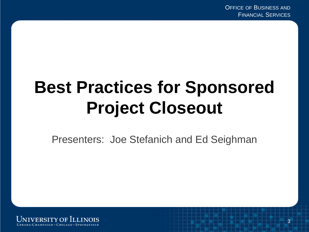# **Best Practices for Sponsored Project Closeout**

Presenters: Joe Stefanich and Ed Seighman

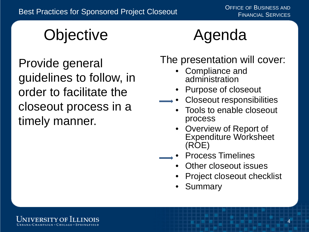# **Objective**

Provide general guidelines to follow, in order to facilitate the closeout process in a timely manner.

## Agenda

The presentation will cover:

- Compliance and administration
- Purpose of closeout
- Closeout responsibilities
	- Tools to enable closeout process
	- Overview of Report of Expenditure Worksheet (ROE)
- Process Timelines
	- Other closeout issues
	- Project closeout checklist
	- **Summary**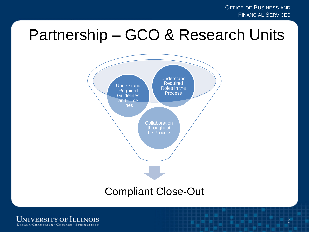#### Partnership – GCO & Research Units



#### Compliant Close-Out

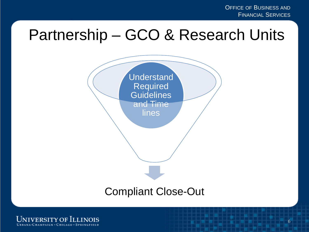OFFICE OF BUSINESS AND FINANCIAL SERVICES

#### Partnership – GCO & Research Units



#### Compliant Close-Out

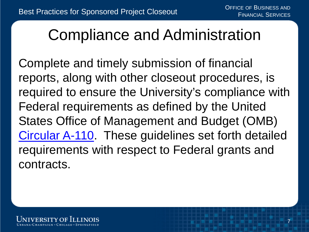### Compliance and Administration

Complete and timely submission of financial reports, along with other closeout procedures, is required to ensure the University's compliance with Federal requirements as defined by the United States Office of Management and Budget (OMB) [Circular A-110.](https://obamawhitehouse.archives.gov/omb/circulars_a110/) These guidelines set forth detailed requirements with respect to Federal grants and contracts.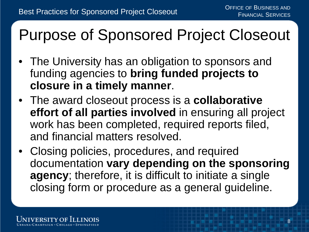## Purpose of Sponsored Project Closeout

- The University has an obligation to sponsors and funding agencies to **bring funded projects to closure in a timely manner**.
- The award closeout process is a **collaborative effort of all parties involved** in ensuring all project work has been completed, required reports filed, and financial matters resolved.
- Closing policies, procedures, and required documentation **vary depending on the sponsoring agency**; therefore, it is difficult to initiate a single closing form or procedure as a general guideline.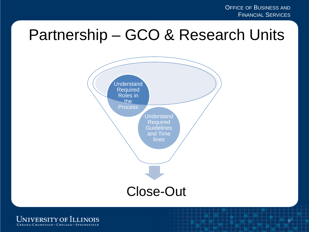#### Partnership – GCO & Research Units



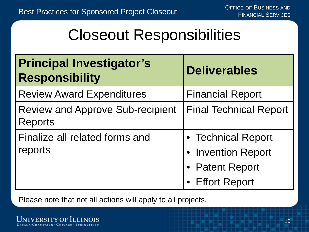### Closeout Responsibilities

| <b>Principal Investigator's</b><br><b>Responsibility</b>  | <b>Deliverables</b>           |
|-----------------------------------------------------------|-------------------------------|
| <b>Review Award Expenditures</b>                          | <b>Financial Report</b>       |
| <b>Review and Approve Sub-recipient</b><br><b>Reports</b> | <b>Final Technical Report</b> |
| Finalize all related forms and                            | • Technical Report            |
| reports                                                   | • Invention Report            |
|                                                           | • Patent Report               |
|                                                           | <b>Effort Report</b>          |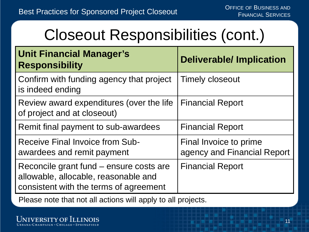## Closeout Responsibilities (cont.)

| <b>Unit Financial Manager's</b><br><b>Responsibility</b>                                                                  | <b>Deliverable/Implication</b>                        |
|---------------------------------------------------------------------------------------------------------------------------|-------------------------------------------------------|
| Confirm with funding agency that project<br>is indeed ending                                                              | <b>Timely closeout</b>                                |
| Review award expenditures (over the life<br>of project and at closeout)                                                   | <b>Financial Report</b>                               |
| Remit final payment to sub-awardees                                                                                       | <b>Financial Report</b>                               |
| Receive Final Invoice from Sub-<br>awardees and remit payment                                                             | Final Invoice to prime<br>agency and Financial Report |
| Reconcile grant fund – ensure costs are<br>allowable, allocable, reasonable and<br>consistent with the terms of agreement | <b>Financial Report</b>                               |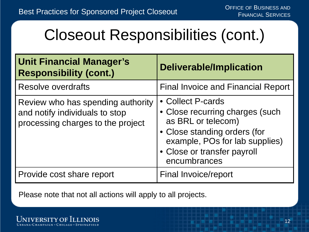## Closeout Responsibilities (cont.)

| <b>Unit Financial Manager's</b><br><b>Responsibility (cont.)</b>                                         | <b>Deliverable/Implication</b>                                                                                                                                                              |
|----------------------------------------------------------------------------------------------------------|---------------------------------------------------------------------------------------------------------------------------------------------------------------------------------------------|
| <b>Resolve overdrafts</b>                                                                                | <b>Final Invoice and Financial Report</b>                                                                                                                                                   |
| Review who has spending authority<br>and notify individuals to stop<br>processing charges to the project | • Collect P-cards<br>• Close recurring charges (such<br>as BRL or telecom)<br>• Close standing orders (for<br>example, POs for lab supplies)<br>• Close or transfer payroll<br>encumbrances |
| Provide cost share report                                                                                | Final Invoice/report                                                                                                                                                                        |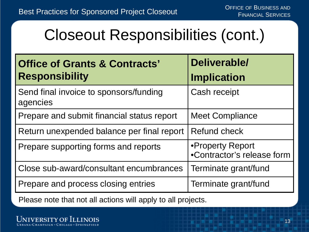## Closeout Responsibilities (cont.)

| <b>Office of Grants &amp; Contracts'</b><br><b>Responsibility</b> | Deliverable/<br><b>Implication</b>             |
|-------------------------------------------------------------------|------------------------------------------------|
| Send final invoice to sponsors/funding<br>agencies                | Cash receipt                                   |
| Prepare and submit financial status report                        | <b>Meet Compliance</b>                         |
| Return unexpended balance per final report                        | Refund check                                   |
| Prepare supporting forms and reports                              | •Property Report<br>•Contractor's release form |
| Close sub-award/consultant encumbrances                           | Terminate grant/fund                           |
| Prepare and process closing entries                               | Terminate grant/fund                           |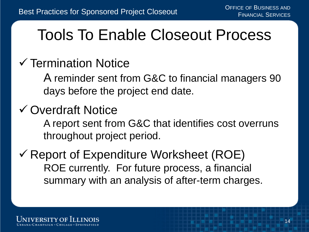### Tools To Enable Closeout Process

#### $\checkmark$  Termination Notice

A reminder sent from G&C to financial managers 90 days before the project end date.

#### Overdraft Notice

A report sent from G&C that identifies cost overruns throughout project period.

 $\checkmark$  Report of Expenditure Worksheet (ROE) ROE currently. For future process, a financial summary with an analysis of after-term charges.

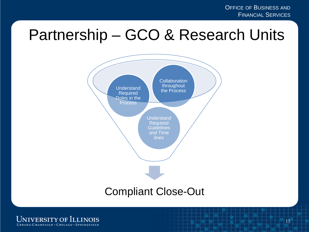#### Partnership – GCO & Research Units



#### Compliant Close-Out

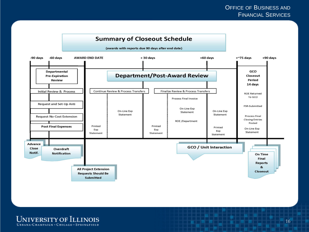#### **Summary of Closeout Schedule**

(awards with reports due 90 days after end date)



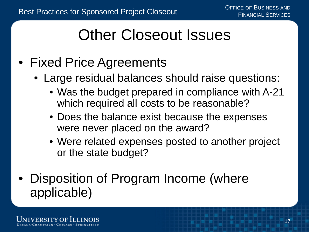## Other Closeout Issues

- Fixed Price Agreements
	- Large residual balances should raise questions:
		- Was the budget prepared in compliance with A-21 which required all costs to be reasonable?
		- Does the balance exist because the expenses were never placed on the award?
		- Were related expenses posted to another project or the state budget?
- Disposition of Program Income (where applicable)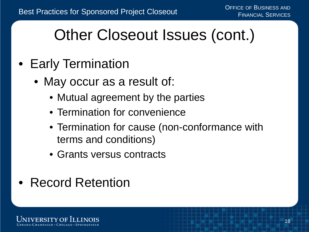## Other Closeout Issues (cont.)

- Early Termination
	- May occur as a result of:
		- Mutual agreement by the parties
		- Termination for convenience
		- Termination for cause (non-conformance with terms and conditions)
		- Grants versus contracts
- Record Retention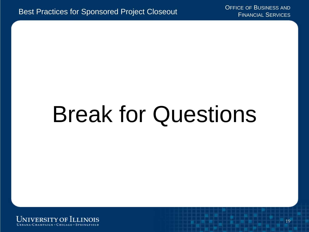# Break for Questions

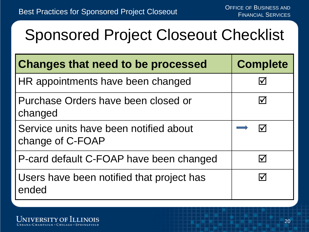## Sponsored Project Closeout Checklist

| <b>Changes that need to be processed</b>                   | <b>Complete</b>              |
|------------------------------------------------------------|------------------------------|
| HR appointments have been changed                          | $ \boldsymbol{\mathcal{V}} $ |
| Purchase Orders have been closed or<br>changed             | $ \boldsymbol{\surd} $       |
| Service units have been notified about<br>change of C-FOAP | lV                           |
| P-card default C-FOAP have been changed                    | $\vert \checkmark \vert$     |
| Users have been notified that project has<br>ended         |                              |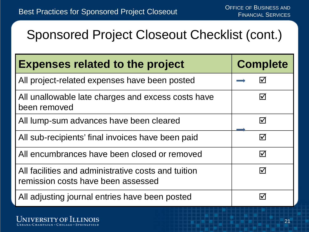#### Sponsored Project Closeout Checklist (cont.)

| <b>Expenses related to the project</b>                                                    | <b>Complete</b>       |
|-------------------------------------------------------------------------------------------|-----------------------|
| All project-related expenses have been posted                                             | $\blacktriangledown$  |
| All unallowable late charges and excess costs have<br>been removed                        | $\blacktriangledown$  |
| All lump-sum advances have been cleared                                                   | $\triangledown$       |
| All sub-recipients' final invoices have been paid                                         | ☑                     |
| All encumbrances have been closed or removed                                              | $\boldsymbol{\nabla}$ |
| All facilities and administrative costs and tuition<br>remission costs have been assessed | $\bm{\triangledown}$  |
| All adjusting journal entries have been posted                                            | $\mathsf{M}$          |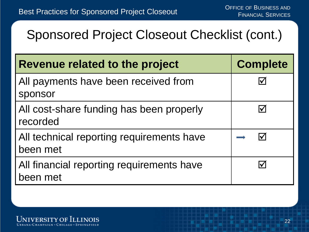#### Sponsored Project Closeout Checklist (cont.)

| Revenue related to the project                        | <b>Complete</b>            |
|-------------------------------------------------------|----------------------------|
| All payments have been received from<br>sponsor       | V                          |
| All cost-share funding has been properly<br>recorded  | $\boldsymbol{\mathcal{V}}$ |
| All technical reporting requirements have<br>been met |                            |
| All financial reporting requirements have<br>been met |                            |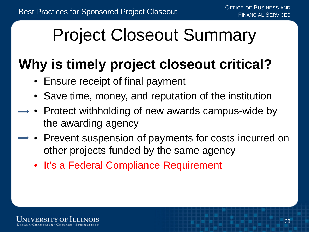# Project Closeout Summary

### **Why is timely project closeout critical?**

- Ensure receipt of final payment
- Save time, money, and reputation of the institution
- Protect withholding of new awards campus-wide by the awarding agency
- $\rightarrow \bullet$  Prevent suspension of payments for costs incurred on other projects funded by the same agency
	- It's a Federal Compliance Requirement